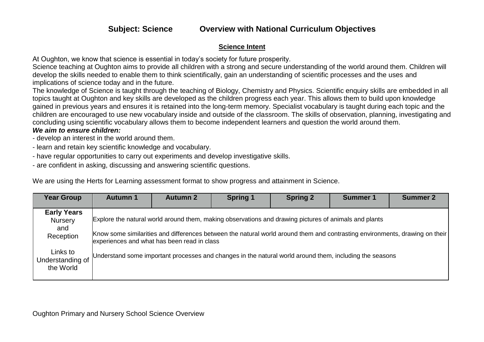### **Science Intent**

At Oughton, we know that science is essential in today's society for future prosperity.

Science teaching at Oughton aims to provide all children with a strong and secure understanding of the world around them. Children will develop the skills needed to enable them to think scientifically, gain an understanding of scientific processes and the uses and implications of science today and in the future.

The knowledge of Science is taught through the teaching of Biology, Chemistry and Physics. Scientific enquiry skills are embedded in all topics taught at Oughton and key skills are developed as the children progress each year. This allows them to build upon knowledge gained in previous years and ensures it is retained into the long-term memory. Specialist vocabulary is taught during each topic and the children are encouraged to use new vocabulary inside and outside of the classroom. The skills of observation, planning, investigating and concluding using scientific vocabulary allows them to become independent learners and question the world around them. *We aim to ensure children:* 

- develop an interest in the world around them.

- learn and retain key scientific knowledge and vocabulary.
- have regular opportunities to carry out experiments and develop investigative skills.
- are confident in asking, discussing and answering scientific questions.

We are using the Herts for Learning assessment format to show progress and attainment in Science.

| <b>Year Group</b>                                        | <b>Autumn 1</b>                                                                                                                                      | <b>Autumn 2</b> | <b>Spring 1</b> | <b>Spring 2</b> | <b>Summer 1</b> | <b>Summer 2</b>                                                                                                             |
|----------------------------------------------------------|------------------------------------------------------------------------------------------------------------------------------------------------------|-----------------|-----------------|-----------------|-----------------|-----------------------------------------------------------------------------------------------------------------------------|
| <b>Early Years</b><br><b>Nursery</b><br>and<br>Reception | Explore the natural world around them, making observations and drawing pictures of animals and plants<br>experiences and what has been read in class |                 |                 |                 |                 | Know some similarities and differences between the natural world around them and contrasting environments, drawing on their |
| Links to<br>Understanding of<br>the World                | Understand some important processes and changes in the natural world around them, including the seasons                                              |                 |                 |                 |                 |                                                                                                                             |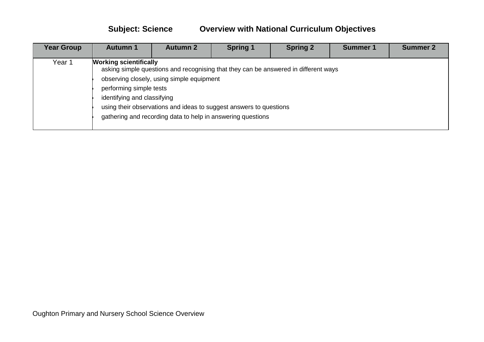| <b>Year Group</b> | <b>Autumn 1</b>                                                                         | <b>Autumn 2</b>                           | <b>Spring 1</b>                                                                                                                                                                                                          | <b>Spring 2</b> | <b>Summer 1</b> | <b>Summer 2</b> |
|-------------------|-----------------------------------------------------------------------------------------|-------------------------------------------|--------------------------------------------------------------------------------------------------------------------------------------------------------------------------------------------------------------------------|-----------------|-----------------|-----------------|
| Year 1            | <b>Working scientifically</b><br>performing simple tests<br>identifying and classifying | observing closely, using simple equipment | asking simple questions and recognising that they can be answered in different ways<br>using their observations and ideas to suggest answers to questions<br>gathering and recording data to help in answering questions |                 |                 |                 |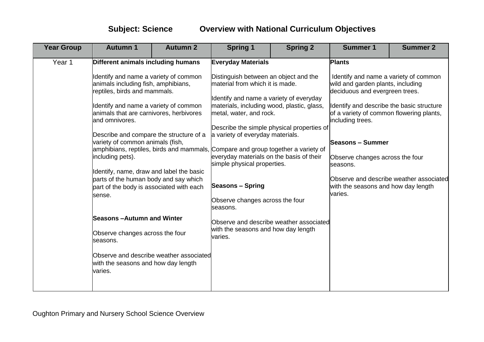| <b>Year Group</b> | <b>Autumn 1</b>                                                                                                                                                                                                                                                                                                                                                                                                                                                                                                                                                                                                                | <b>Autumn 2</b> | <b>Spring 1</b>                                                                                                                                                                                                                                                                                                                                                                                                                                                                                                                                                                                                                                   | <b>Spring 2</b> | <b>Summer 1</b>                                                                                                                                                                                                                                                                                                                                                        | <b>Summer 2</b>                         |
|-------------------|--------------------------------------------------------------------------------------------------------------------------------------------------------------------------------------------------------------------------------------------------------------------------------------------------------------------------------------------------------------------------------------------------------------------------------------------------------------------------------------------------------------------------------------------------------------------------------------------------------------------------------|-----------------|---------------------------------------------------------------------------------------------------------------------------------------------------------------------------------------------------------------------------------------------------------------------------------------------------------------------------------------------------------------------------------------------------------------------------------------------------------------------------------------------------------------------------------------------------------------------------------------------------------------------------------------------------|-----------------|------------------------------------------------------------------------------------------------------------------------------------------------------------------------------------------------------------------------------------------------------------------------------------------------------------------------------------------------------------------------|-----------------------------------------|
| Year 1            | Different animals including humans<br>Identify and name a variety of common<br>animals including fish, amphibians,<br>reptiles, birds and mammals.<br>Identify and name a variety of common<br>animals that are carnivores, herbivores<br>and omnivores.<br>Describe and compare the structure of a<br>variety of common animals (fish,<br>including pets).<br>Identify, name, draw and label the basic<br>parts of the human body and say which<br>part of the body is associated with each<br>sense.<br>Seasons –Autumn and Winter<br>Observe changes across the four<br>seasons.<br>Observe and describe weather associated |                 | <b>Everyday Materials</b><br>Distinguish between an object and the<br>material from which it is made.<br>Identify and name a variety of everyday<br>materials, including wood, plastic, glass,<br>metal, water, and rock.<br>Describe the simple physical properties of<br>a variety of everyday materials.<br>amphibians, reptiles, birds and mammals, Compare and group together a variety of<br>everyday materials on the basis of their<br>simple physical properties.<br><b>Seasons - Spring</b><br>Observe changes across the four<br>seasons.<br>Observe and describe weather associated<br>with the seasons and how day length<br>varies. |                 | <b>Plants</b><br>Identify and name a variety of common<br>wild and garden plants, including<br>deciduous and evergreen trees.<br>Identify and describe the basic structure<br>of a variety of common flowering plants,<br>including trees.<br><b>Seasons – Summer</b><br>Observe changes across the four<br>seasons.<br>with the seasons and how day length<br>varies. | Observe and describe weather associated |
|                   | with the seasons and how day length<br>varies.                                                                                                                                                                                                                                                                                                                                                                                                                                                                                                                                                                                 |                 |                                                                                                                                                                                                                                                                                                                                                                                                                                                                                                                                                                                                                                                   |                 |                                                                                                                                                                                                                                                                                                                                                                        |                                         |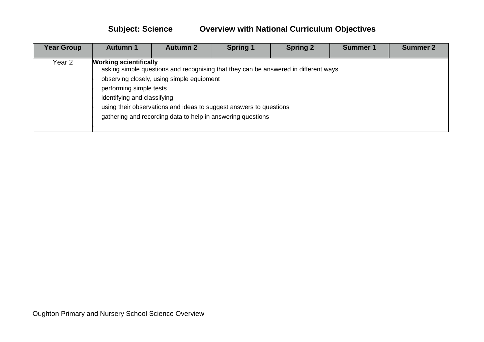| <b>Year Group</b> | <b>Autumn 1</b>                                                                         | <b>Autumn 2</b>                           | <b>Spring 1</b>                                                                                                                                                                                                          | <b>Spring 2</b> | <b>Summer 1</b> | <b>Summer 2</b> |
|-------------------|-----------------------------------------------------------------------------------------|-------------------------------------------|--------------------------------------------------------------------------------------------------------------------------------------------------------------------------------------------------------------------------|-----------------|-----------------|-----------------|
| Year 2            | <b>Working scientifically</b><br>performing simple tests<br>identifying and classifying | observing closely, using simple equipment | asking simple questions and recognising that they can be answered in different ways<br>using their observations and ideas to suggest answers to questions<br>gathering and recording data to help in answering questions |                 |                 |                 |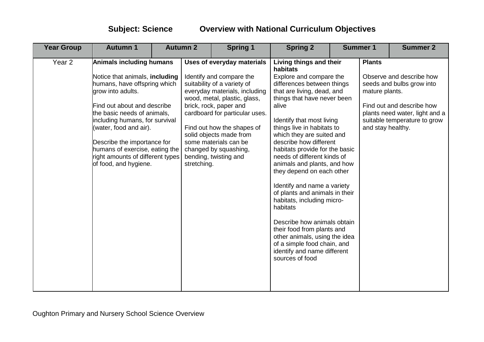| <b>Year Group</b> | <b>Autumn 1</b>                                                                                                                                                                                                                                                                                                                                                                | <b>Autumn 2</b> |             | <b>Spring 1</b>                                                                                                                                                                                                                                                                                                                                               | <b>Spring 2</b>                                                                                                                                                                                                                                                                                                                                                                                                                                                                                                                                                                                                                                                                                             | <b>Summer 1</b> |                                                      | <b>Summer 2</b>                                                                                                                                      |
|-------------------|--------------------------------------------------------------------------------------------------------------------------------------------------------------------------------------------------------------------------------------------------------------------------------------------------------------------------------------------------------------------------------|-----------------|-------------|---------------------------------------------------------------------------------------------------------------------------------------------------------------------------------------------------------------------------------------------------------------------------------------------------------------------------------------------------------------|-------------------------------------------------------------------------------------------------------------------------------------------------------------------------------------------------------------------------------------------------------------------------------------------------------------------------------------------------------------------------------------------------------------------------------------------------------------------------------------------------------------------------------------------------------------------------------------------------------------------------------------------------------------------------------------------------------------|-----------------|------------------------------------------------------|------------------------------------------------------------------------------------------------------------------------------------------------------|
| Year <sub>2</sub> | <b>Animals including humans</b><br>Notice that animals, including<br>humans, have offspring which<br>grow into adults.<br>Find out about and describe<br>the basic needs of animals,<br>including humans, for survival<br>(water, food and air).<br>Describe the importance for<br>humans of exercise, eating the<br>right amounts of different types<br>of food, and hygiene. |                 | stretching. | <b>Uses of everyday materials</b><br>Identify and compare the<br>suitability of a variety of<br>everyday materials, including<br>wood, metal, plastic, glass,<br>brick, rock, paper and<br>cardboard for particular uses.<br>Find out how the shapes of<br>solid objects made from<br>some materials can be<br>changed by squashing,<br>bending, twisting and | Living things and their<br>habitats<br>Explore and compare the<br>differences between things<br>that are living, dead, and<br>things that have never been<br>alive<br>Identify that most living<br>things live in habitats to<br>which they are suited and<br>describe how different<br>habitats provide for the basic<br>needs of different kinds of<br>animals and plants, and how<br>they depend on each other<br>Identify and name a variety<br>of plants and animals in their<br>habitats, including micro-<br>habitats<br>Describe how animals obtain<br>their food from plants and<br>other animals, using the idea<br>of a simple food chain, and<br>identify and name different<br>sources of food |                 | <b>Plants</b><br>mature plants.<br>and stay healthy. | Observe and describe how<br>seeds and bulbs grow into<br>Find out and describe how<br>plants need water, light and a<br>suitable temperature to grow |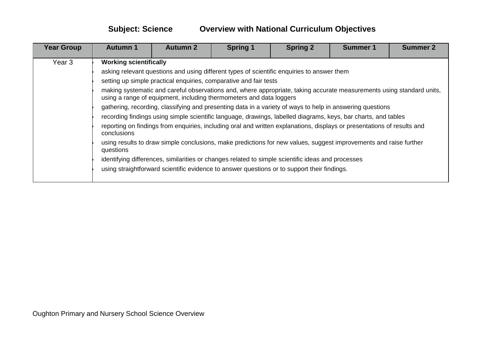| <b>Year Group</b> | <b>Autumn 1</b>                                                                                                                                                                              | <b>Autumn 2</b> | <b>Spring 1</b>                                                                                   | <b>Spring 2</b> | <b>Summer 1</b> | <b>Summer 2</b> |  |  |  |  |
|-------------------|----------------------------------------------------------------------------------------------------------------------------------------------------------------------------------------------|-----------------|---------------------------------------------------------------------------------------------------|-----------------|-----------------|-----------------|--|--|--|--|
| Year <sub>3</sub> | <b>Working scientifically</b>                                                                                                                                                                |                 |                                                                                                   |                 |                 |                 |  |  |  |  |
|                   | asking relevant questions and using different types of scientific enquiries to answer them                                                                                                   |                 |                                                                                                   |                 |                 |                 |  |  |  |  |
|                   | setting up simple practical enquiries, comparative and fair tests                                                                                                                            |                 |                                                                                                   |                 |                 |                 |  |  |  |  |
|                   | making systematic and careful observations and, where appropriate, taking accurate measurements using standard units,<br>using a range of equipment, including thermometers and data loggers |                 |                                                                                                   |                 |                 |                 |  |  |  |  |
|                   | gathering, recording, classifying and presenting data in a variety of ways to help in answering questions                                                                                    |                 |                                                                                                   |                 |                 |                 |  |  |  |  |
|                   | recording findings using simple scientific language, drawings, labelled diagrams, keys, bar charts, and tables                                                                               |                 |                                                                                                   |                 |                 |                 |  |  |  |  |
|                   | reporting on findings from enquiries, including oral and written explanations, displays or presentations of results and<br>conclusions                                                       |                 |                                                                                                   |                 |                 |                 |  |  |  |  |
|                   | using results to draw simple conclusions, make predictions for new values, suggest improvements and raise further<br>questions                                                               |                 |                                                                                                   |                 |                 |                 |  |  |  |  |
|                   |                                                                                                                                                                                              |                 | identifying differences, similarities or changes related to simple scientific ideas and processes |                 |                 |                 |  |  |  |  |
|                   |                                                                                                                                                                                              |                 | using straightforward scientific evidence to answer questions or to support their findings.       |                 |                 |                 |  |  |  |  |
|                   |                                                                                                                                                                                              |                 |                                                                                                   |                 |                 |                 |  |  |  |  |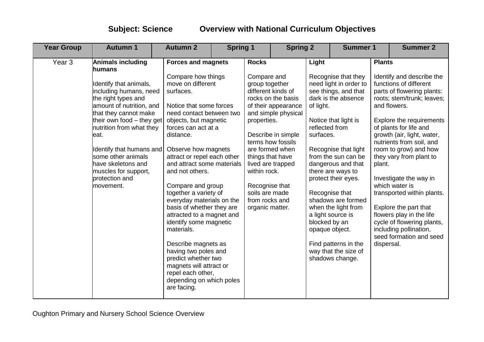| <b>Year Group</b> | <b>Autumn 1</b>                                                                                                                                                                                                                                                                                                                                             | <b>Autumn 2</b>                                                                                                                                                                                                                                                                                                                                                                                                                                                                                                                                                                                                                                            | <b>Spring 1</b><br><b>Spring 2</b> |                                                                                                                                                                           |                                                                                                                                                                           | <b>Summer 1</b>                                                    |                                                                                                                                                                                                                                                                                                                                                                                                                | <b>Summer 2</b>                       |                                                                                                                                                                                                                                                                                                                                                                                                                                                                                                                              |
|-------------------|-------------------------------------------------------------------------------------------------------------------------------------------------------------------------------------------------------------------------------------------------------------------------------------------------------------------------------------------------------------|------------------------------------------------------------------------------------------------------------------------------------------------------------------------------------------------------------------------------------------------------------------------------------------------------------------------------------------------------------------------------------------------------------------------------------------------------------------------------------------------------------------------------------------------------------------------------------------------------------------------------------------------------------|------------------------------------|---------------------------------------------------------------------------------------------------------------------------------------------------------------------------|---------------------------------------------------------------------------------------------------------------------------------------------------------------------------|--------------------------------------------------------------------|----------------------------------------------------------------------------------------------------------------------------------------------------------------------------------------------------------------------------------------------------------------------------------------------------------------------------------------------------------------------------------------------------------------|---------------------------------------|------------------------------------------------------------------------------------------------------------------------------------------------------------------------------------------------------------------------------------------------------------------------------------------------------------------------------------------------------------------------------------------------------------------------------------------------------------------------------------------------------------------------------|
| Year <sub>3</sub> | Animals including<br>humans<br>Identify that animals,<br>including humans, need<br>the right types and<br>amount of nutrition, and<br>that they cannot make<br>their own food - they get<br>nutrition from what they<br>eat.<br>Identify that humans and<br>some other animals<br>have skeletons and<br>muscles for support,<br>protection and<br>movement. | <b>Forces and magnets</b><br>Compare how things<br>move on different<br>surfaces.<br>Notice that some forces<br>need contact between two<br>objects, but magnetic<br>forces can act at a<br>distance.<br>Observe how magnets<br>attract or repel each other<br>and attract some materials<br>and not others.<br>Compare and group<br>together a variety of<br>everyday materials on the<br>basis of whether they are<br>attracted to a magnet and<br>identify some magnetic<br>materials.<br>Describe magnets as<br>having two poles and<br>predict whether two<br>magnets will attract or<br>repel each other,<br>depending on which poles<br>are facing. |                                    | <b>Rocks</b><br>Compare and<br>group together<br>properties.<br>things that have<br>within rock.<br>Recognise that<br>soils are made<br>from rocks and<br>organic matter. | different kinds of<br>rocks on the basis<br>of their appearance<br>and simple physical<br>Describe in simple<br>terms how fossils<br>are formed when<br>lived are trapped | Light<br>of light.<br>reflected from<br>surfaces.<br>blocked by an | Recognise that they<br>need light in order to<br>see things, and that<br>dark is the absence<br>Notice that light is<br>Recognise that light<br>from the sun can be<br>dangerous and that<br>there are ways to<br>protect their eyes.<br>Recognise that<br>shadows are formed<br>when the light from<br>a light source is<br>opaque object.<br>Find patterns in the<br>way that the size of<br>shadows change. | <b>Plants</b><br>plant.<br>dispersal. | Identify and describe the<br>functions of different<br>parts of flowering plants:<br>roots; stem/trunk; leaves;<br>and flowers.<br><b>Explore the requirements</b><br>of plants for life and<br>growth (air, light, water,<br>nutrients from soil, and<br>room to grow) and how<br>they vary from plant to<br>Investigate the way in<br>which water is<br>transported within plants.<br>Explore the part that<br>flowers play in the life<br>cycle of flowering plants,<br>including pollination,<br>seed formation and seed |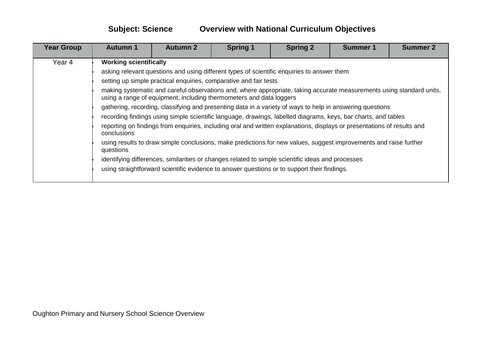| <b>Year Group</b> | <b>Autumn 1</b> | <b>Autumn 2</b>                                                                                                                                                                              | <b>Spring 1</b>                                                                             | <b>Spring 2</b> | <b>Summer 1</b> | <b>Summer 2</b> |  |  |  |  |  |
|-------------------|-----------------|----------------------------------------------------------------------------------------------------------------------------------------------------------------------------------------------|---------------------------------------------------------------------------------------------|-----------------|-----------------|-----------------|--|--|--|--|--|
| Year 4            |                 | <b>Working scientifically</b>                                                                                                                                                                |                                                                                             |                 |                 |                 |  |  |  |  |  |
|                   |                 | asking relevant questions and using different types of scientific enquiries to answer them                                                                                                   |                                                                                             |                 |                 |                 |  |  |  |  |  |
|                   |                 | setting up simple practical enquiries, comparative and fair tests                                                                                                                            |                                                                                             |                 |                 |                 |  |  |  |  |  |
|                   |                 | making systematic and careful observations and, where appropriate, taking accurate measurements using standard units,<br>using a range of equipment, including thermometers and data loggers |                                                                                             |                 |                 |                 |  |  |  |  |  |
|                   |                 | gathering, recording, classifying and presenting data in a variety of ways to help in answering questions                                                                                    |                                                                                             |                 |                 |                 |  |  |  |  |  |
|                   |                 | recording findings using simple scientific language, drawings, labelled diagrams, keys, bar charts, and tables                                                                               |                                                                                             |                 |                 |                 |  |  |  |  |  |
|                   | conclusions     | reporting on findings from enquiries, including oral and written explanations, displays or presentations of results and                                                                      |                                                                                             |                 |                 |                 |  |  |  |  |  |
|                   | questions       | using results to draw simple conclusions, make predictions for new values, suggest improvements and raise further                                                                            |                                                                                             |                 |                 |                 |  |  |  |  |  |
|                   |                 | identifying differences, similarities or changes related to simple scientific ideas and processes                                                                                            |                                                                                             |                 |                 |                 |  |  |  |  |  |
|                   |                 |                                                                                                                                                                                              | using straightforward scientific evidence to answer questions or to support their findings. |                 |                 |                 |  |  |  |  |  |
|                   |                 |                                                                                                                                                                                              |                                                                                             |                 |                 |                 |  |  |  |  |  |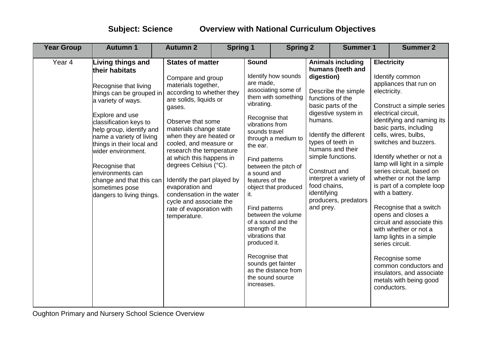| <b>Year Group</b> | <b>Autumn 1</b>                                                                                                                                                                                                                                                                                                                                                                         | <b>Autumn 2</b>                                                                                                                                                                                                                                                                                                                                                                                                                                                                 | <b>Spring 1</b> |                                                                                                                                                                                                                                                                                         | <b>Spring 2</b>                                                                                                                                                                                                                    |                                                                                    | <b>Summer 1</b>                                                                                                                                                                                                                                                                 |                                    | <b>Summer 2</b>                                                                                                                                                                                                                                                                                                                                                                                                                                                                                                                                                                                                                                   |
|-------------------|-----------------------------------------------------------------------------------------------------------------------------------------------------------------------------------------------------------------------------------------------------------------------------------------------------------------------------------------------------------------------------------------|---------------------------------------------------------------------------------------------------------------------------------------------------------------------------------------------------------------------------------------------------------------------------------------------------------------------------------------------------------------------------------------------------------------------------------------------------------------------------------|-----------------|-----------------------------------------------------------------------------------------------------------------------------------------------------------------------------------------------------------------------------------------------------------------------------------------|------------------------------------------------------------------------------------------------------------------------------------------------------------------------------------------------------------------------------------|------------------------------------------------------------------------------------|---------------------------------------------------------------------------------------------------------------------------------------------------------------------------------------------------------------------------------------------------------------------------------|------------------------------------|---------------------------------------------------------------------------------------------------------------------------------------------------------------------------------------------------------------------------------------------------------------------------------------------------------------------------------------------------------------------------------------------------------------------------------------------------------------------------------------------------------------------------------------------------------------------------------------------------------------------------------------------------|
| Year <sub>4</sub> | Living things and<br>their habitats<br>Recognise that living<br>things can be grouped in<br>a variety of ways.<br>Explore and use<br>classification keys to<br>help group, identify and<br>name a variety of living<br>things in their local and<br>wider environment.<br>Recognise that<br>environments can<br>change and that this can<br>sometimes pose<br>dangers to living things. | <b>States of matter</b><br>Compare and group<br>materials together,<br>according to whether they<br>are solids, liquids or<br>gases.<br>Observe that some<br>materials change state<br>when they are heated or<br>cooled, and measure or<br>research the temperature<br>at which this happens in<br>degrees Celsius (°C).<br>Identify the part played by<br>evaporation and<br>condensation in the water<br>cycle and associate the<br>rate of evaporation with<br>temperature. |                 | Sound<br>are made,<br>vibrating.<br>Recognise that<br>vibrations from<br>sounds travel<br>the ear.<br>Find patterns<br>a sound and<br>features of the<br>it.<br>Find patterns<br>strength of the<br>vibrations that<br>produced it.<br>Recognise that<br>the sound source<br>increases. | Identify how sounds<br>associating some of<br>them with something<br>through a medium to<br>between the pitch of<br>object that produced<br>between the volume<br>of a sound and the<br>sounds get fainter<br>as the distance from | digestion)<br>humans.<br>Construct and<br>food chains,<br>identifying<br>and prey. | <b>Animals including</b><br>humans (teeth and<br>Describe the simple<br>functions of the<br>basic parts of the<br>digestive system in<br>Identify the different<br>types of teeth in<br>humans and their<br>simple functions.<br>interpret a variety of<br>producers, predators | <b>Electricity</b><br>electricity. | Identify common<br>appliances that run on<br>Construct a simple series<br>electrical circuit,<br>identifying and naming its<br>basic parts, including<br>cells, wires, bulbs,<br>switches and buzzers.<br>Identify whether or not a<br>lamp will light in a simple<br>series circuit, based on<br>whether or not the lamp<br>is part of a complete loop<br>with a battery.<br>Recognise that a switch<br>opens and closes a<br>circuit and associate this<br>with whether or not a<br>lamp lights in a simple<br>series circuit.<br>Recognise some<br>common conductors and<br>insulators, and associate<br>metals with being good<br>conductors. |

Oughton Primary and Nursery School Science Overview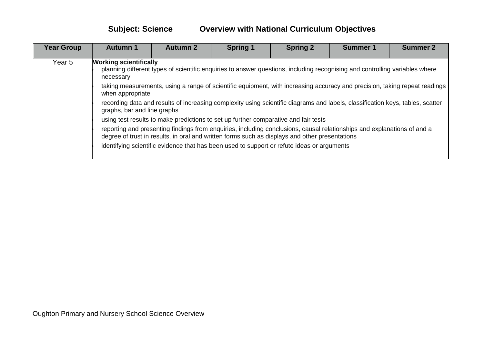| <b>Year Group</b> | <b>Autumn 1</b>                                                                                                                                                                                                           | <b>Autumn 2</b> | <b>Spring 1</b>                                                                            | <b>Spring 2</b> | <b>Summer 1</b> | <b>Summer 2</b> |  |  |  |  |
|-------------------|---------------------------------------------------------------------------------------------------------------------------------------------------------------------------------------------------------------------------|-----------------|--------------------------------------------------------------------------------------------|-----------------|-----------------|-----------------|--|--|--|--|
| Year 5            | <b>Working scientifically</b><br>planning different types of scientific enquiries to answer questions, including recognising and controlling variables where<br>necessary                                                 |                 |                                                                                            |                 |                 |                 |  |  |  |  |
|                   | taking measurements, using a range of scientific equipment, with increasing accuracy and precision, taking repeat readings<br>when appropriate                                                                            |                 |                                                                                            |                 |                 |                 |  |  |  |  |
|                   | recording data and results of increasing complexity using scientific diagrams and labels, classification keys, tables, scatter<br>graphs, bar and line graphs                                                             |                 |                                                                                            |                 |                 |                 |  |  |  |  |
|                   |                                                                                                                                                                                                                           |                 | using test results to make predictions to set up further comparative and fair tests        |                 |                 |                 |  |  |  |  |
|                   | reporting and presenting findings from enquiries, including conclusions, causal relationships and explanations of and a<br>degree of trust in results, in oral and written forms such as displays and other presentations |                 |                                                                                            |                 |                 |                 |  |  |  |  |
|                   |                                                                                                                                                                                                                           |                 | identifying scientific evidence that has been used to support or refute ideas or arguments |                 |                 |                 |  |  |  |  |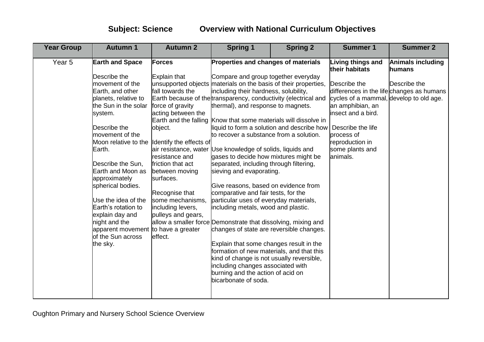| <b>Earth and Space</b><br>Forces<br>Properties and changes of materials<br><b>Living things and</b><br><b>Animals including</b><br>Year <sub>5</sub><br>their habitats<br>humans<br>Describe the<br>Compare and group together everyday<br>Explain that<br>movement of the<br>unsupported objects materials on the basis of their properties,<br>Describe the<br>Describe the<br>fall towards the<br>including their hardness, solubility,<br>differences in the life changes as humans<br>Earth, and other<br>Earth because of the transparency, conductivity (electrical and<br>cycles of a mammal, develop to old age.<br>planets, relative to<br>the Sun in the solar<br>force of gravity<br>thermal), and response to magnets.<br>an amphibian, an<br>acting between the<br>insect and a bird.<br>system.<br>Earth and the falling Know that some materials will dissolve in<br>Describe the<br>liquid to form a solution and describe how<br>Describe the life<br>object.<br>movement of the<br>to recover a substance from a solution.<br>process of<br>Moon relative to the<br>Identify the effects of<br>reproduction in<br>Earth.<br>air resistance, water Use knowledge of solids, liquids and<br>some plants and<br>resistance and<br>animals.<br>gases to decide how mixtures might be<br>separated, including through filtering,<br>Describe the Sun,<br>friction that act<br>Earth and Moon as<br>between moving<br>sieving and evaporating.<br>approximately<br>surfaces.<br>spherical bodies.<br>Give reasons, based on evidence from<br>comparative and fair tests, for the<br>Recognise that<br>Use the idea of the<br>some mechanisms.<br>particular uses of everyday materials,<br>Earth's rotation to<br>including metals, wood and plastic.<br>including levers,<br>pulleys and gears,<br>explain day and | <b>Year Group</b><br><b>Autumn 1</b> | <b>Autumn 2</b> | <b>Spring 1</b> | <b>Spring 2</b> | <b>Summer 1</b> | <b>Summer 2</b> |
|----------------------------------------------------------------------------------------------------------------------------------------------------------------------------------------------------------------------------------------------------------------------------------------------------------------------------------------------------------------------------------------------------------------------------------------------------------------------------------------------------------------------------------------------------------------------------------------------------------------------------------------------------------------------------------------------------------------------------------------------------------------------------------------------------------------------------------------------------------------------------------------------------------------------------------------------------------------------------------------------------------------------------------------------------------------------------------------------------------------------------------------------------------------------------------------------------------------------------------------------------------------------------------------------------------------------------------------------------------------------------------------------------------------------------------------------------------------------------------------------------------------------------------------------------------------------------------------------------------------------------------------------------------------------------------------------------------------------------------------------------------------------------------------------------------------------------------|--------------------------------------|-----------------|-----------------|-----------------|-----------------|-----------------|
| allow a smaller force Demonstrate that dissolving, mixing and<br>changes of state are reversible changes.<br>apparent movement to have a greater<br>of the Sun across<br>effect.<br>Explain that some changes result in the<br>the sky.<br>formation of new materials, and that this<br>kind of change is not usually reversible,<br>including changes associated with<br>burning and the action of acid on<br>bicarbonate of soda.                                                                                                                                                                                                                                                                                                                                                                                                                                                                                                                                                                                                                                                                                                                                                                                                                                                                                                                                                                                                                                                                                                                                                                                                                                                                                                                                                                                              | night and the                        |                 |                 |                 |                 |                 |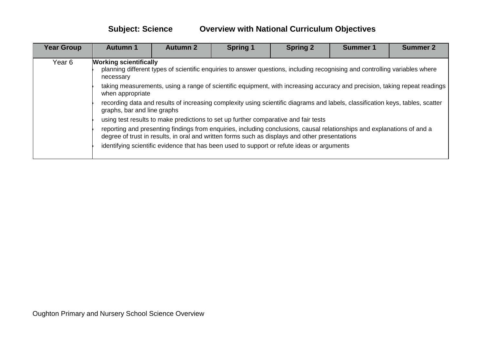| <b>Year Group</b> | <b>Autumn 1</b>                                                                                                                                                                                                           | <b>Autumn 2</b> | <b>Spring 1</b>                                                                            | <b>Spring 2</b> | <b>Summer 1</b> | <b>Summer 2</b> |  |  |  |  |
|-------------------|---------------------------------------------------------------------------------------------------------------------------------------------------------------------------------------------------------------------------|-----------------|--------------------------------------------------------------------------------------------|-----------------|-----------------|-----------------|--|--|--|--|
| Year 6            | <b>Working scientifically</b><br>planning different types of scientific enquiries to answer questions, including recognising and controlling variables where<br>necessary                                                 |                 |                                                                                            |                 |                 |                 |  |  |  |  |
|                   | taking measurements, using a range of scientific equipment, with increasing accuracy and precision, taking repeat readings<br>when appropriate                                                                            |                 |                                                                                            |                 |                 |                 |  |  |  |  |
|                   | recording data and results of increasing complexity using scientific diagrams and labels, classification keys, tables, scatter<br>graphs, bar and line graphs                                                             |                 |                                                                                            |                 |                 |                 |  |  |  |  |
|                   |                                                                                                                                                                                                                           |                 | using test results to make predictions to set up further comparative and fair tests        |                 |                 |                 |  |  |  |  |
|                   | reporting and presenting findings from enquiries, including conclusions, causal relationships and explanations of and a<br>degree of trust in results, in oral and written forms such as displays and other presentations |                 |                                                                                            |                 |                 |                 |  |  |  |  |
|                   |                                                                                                                                                                                                                           |                 | identifying scientific evidence that has been used to support or refute ideas or arguments |                 |                 |                 |  |  |  |  |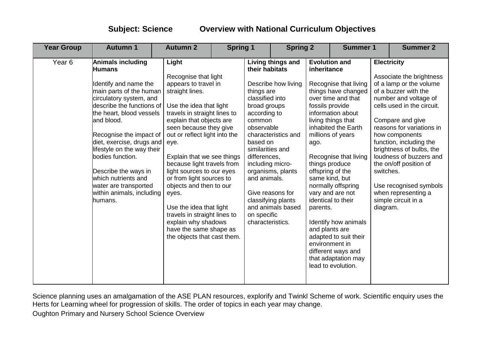| <b>Year Group</b> | <b>Autumn 1</b>                                                                                                                                                                                                                                                                                                                                                                                                    | <b>Spring 1</b><br><b>Autumn 2</b>                                                                                                                                                                                                                                                                                                                                                                                                                                                                                                     |  | <b>Spring 2</b>                                                                                                                                                                                                                |                                                                                                                                                     |                            | <b>Summer 1</b>                                                                                                                                                                                                                                                                                                                                                                                                                                                                                                    |  | <b>Summer 2</b>                                                                                                                                                                                                                                                                                                                                                                                                                          |
|-------------------|--------------------------------------------------------------------------------------------------------------------------------------------------------------------------------------------------------------------------------------------------------------------------------------------------------------------------------------------------------------------------------------------------------------------|----------------------------------------------------------------------------------------------------------------------------------------------------------------------------------------------------------------------------------------------------------------------------------------------------------------------------------------------------------------------------------------------------------------------------------------------------------------------------------------------------------------------------------------|--|--------------------------------------------------------------------------------------------------------------------------------------------------------------------------------------------------------------------------------|-----------------------------------------------------------------------------------------------------------------------------------------------------|----------------------------|--------------------------------------------------------------------------------------------------------------------------------------------------------------------------------------------------------------------------------------------------------------------------------------------------------------------------------------------------------------------------------------------------------------------------------------------------------------------------------------------------------------------|--|------------------------------------------------------------------------------------------------------------------------------------------------------------------------------------------------------------------------------------------------------------------------------------------------------------------------------------------------------------------------------------------------------------------------------------------|
| Year <sub>6</sub> | Animals including<br><b>Humans</b><br>Identify and name the<br>main parts of the human<br>circulatory system, and<br>describe the functions of<br>the heart, blood vessels<br>and blood.<br>Recognise the impact of<br>diet, exercise, drugs and<br>lifestyle on the way their<br>bodies function.<br>Describe the ways in<br>which nutrients and<br>water are transported<br>within animals, including<br>humans. | Light<br>Recognise that light<br>appears to travel in<br>straight lines.<br>Use the idea that light<br>travels in straight lines to<br>explain that objects are<br>seen because they give<br>out or reflect light into the<br>eye.<br>Explain that we see things<br>because light travels from<br>light sources to our eyes<br>or from light sources to<br>objects and then to our<br>eyes.<br>Use the idea that light<br>travels in straight lines to<br>explain why shadows<br>have the same shape as<br>the objects that cast them. |  | their habitats<br>things are<br>classified into<br>broad groups<br>according to<br>common<br>observable<br>based on<br>similarities and<br>differences,<br>including micro-<br>and animals.<br>on specific<br>characteristics. | Living things and<br>Describe how living<br>characteristics and<br>organisms, plants<br>Give reasons for<br>classifying plants<br>and animals based | ago.<br>lead to evolution. | <b>Evolution and</b><br>inheritance<br>Recognise that living<br>things have changed<br>over time and that<br>fossils provide<br>information about<br>living things that<br>inhabited the Earth<br>millions of years<br>Recognise that living<br>things produce<br>offspring of the<br>same kind, but<br>normally offspring<br>vary and are not<br>identical to their<br>parents.<br>Identify how animals<br>and plants are<br>adapted to suit their<br>environment in<br>different ways and<br>that adaptation may |  | <b>Electricity</b><br>Associate the brightness<br>of a lamp or the volume<br>of a buzzer with the<br>number and voltage of<br>cells used in the circuit.<br>Compare and give<br>reasons for variations in<br>how components<br>function, including the<br>brightness of bulbs, the<br>loudness of buzzers and<br>the on/off position of<br>switches.<br>Use recognised symbols<br>when representing a<br>simple circuit in a<br>diagram. |

Science planning uses an amalgamation of the ASE PLAN resources, explorify and Twinkl Scheme of work. Scientific enquiry uses the Herts for Learning wheel for progression of skills. The order of topics in each year may change.

Oughton Primary and Nursery School Science Overview